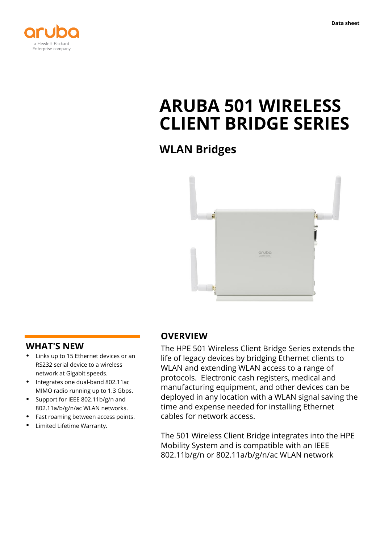



# **ARUBA 501 WIRELESS CLIENT BRIDGE SERIES**

**WLAN Bridges**



### **WHAT'S NEW**

- **·** Links up to 15 Ethernet devices or an RS232 serial device to a wireless network at Gigabit speeds.
- **·** Integrates one dual-band 802.11ac MIMO radio running up to 1.3 Gbps.
- **·** Support for IEEE 802.11b/g/n and 802.11a/b/g/n/ac WLAN networks.
- **·** Fast roaming between access points.
- **·** Limited Lifetime Warranty.

### **OVERVIEW**

The HPE 501 Wireless Client Bridge Series extends the life of legacy devices by bridging Ethernet clients to WLAN and extending WLAN access to a range of protocols. Electronic cash registers, medical and manufacturing equipment, and other devices can be deployed in any location with a WLAN signal saving the time and expense needed for installing Ethernet cables for network access.

The 501 Wireless Client Bridge integrates into the HPE Mobility System and is compatible with an IEEE 802.11b/g/n or 802.11a/b/g/n/ac WLAN network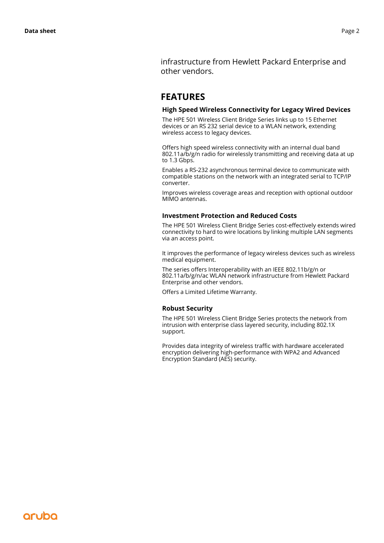infrastructure from Hewlett Packard Enterprise and other vendors.

### **FEATURES**

### **High Speed Wireless Connectivity for Legacy Wired Devices**

The HPE 501 Wireless Client Bridge Series links up to 15 Ethernet devices or an RS 232 serial device to a WLAN network, extending wireless access to legacy devices.

Offers high speed wireless connectivity with an internal dual band 802.11a/b/g/n radio for wirelessly transmitting and receiving data at up to 1.3 Gbps.

Enables a RS-232 asynchronous terminal device to communicate with compatible stations on the network with an integrated serial to TCP/IP converter.

Improves wireless coverage areas and reception with optional outdoor MIMO antennas.

### **Investment Protection and Reduced Costs**

The HPE 501 Wireless Client Bridge Series cost-effectively extends wired connectivity to hard to wire locations by linking multiple LAN segments via an access point.

It improves the performance of legacy wireless devices such as wireless medical equipment.

The series offers Interoperability with an IEEE 802.11b/g/n or 802.11a/b/g/n/ac WLAN network infrastructure from Hewlett Packard Enterprise and other vendors.

Offers a Limited Lifetime Warranty.

### **Robust Security**

The HPE 501 Wireless Client Bridge Series protects the network from intrusion with enterprise class layered security, including 802.1X support.

Provides data integrity of wireless traffic with hardware accelerated encryption delivering high-performance with WPA2 and Advanced Encryption Standard (AES) security.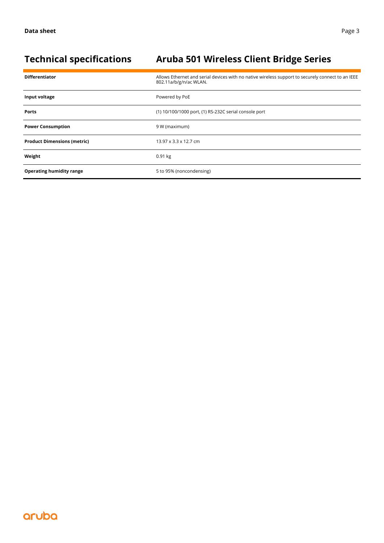# **Technical specifications Aruba 501 Wireless Client Bridge Series**

| <b>Differentiator</b>              | Allows Ethernet and serial devices with no native wireless support to securely connect to an IEEE<br>802.11a/b/g/n/ac WLAN. |
|------------------------------------|-----------------------------------------------------------------------------------------------------------------------------|
| Input voltage                      | Powered by PoE                                                                                                              |
| <b>Ports</b>                       | (1) 10/100/1000 port, (1) RS-232C serial console port                                                                       |
| <b>Power Consumption</b>           | 9 W (maximum)                                                                                                               |
| <b>Product Dimensions (metric)</b> | 13.97 x 3.3 x 12.7 cm                                                                                                       |
| Weight                             | $0.91$ kg                                                                                                                   |
| <b>Operating humidity range</b>    | 5 to 95% (noncondensing)                                                                                                    |